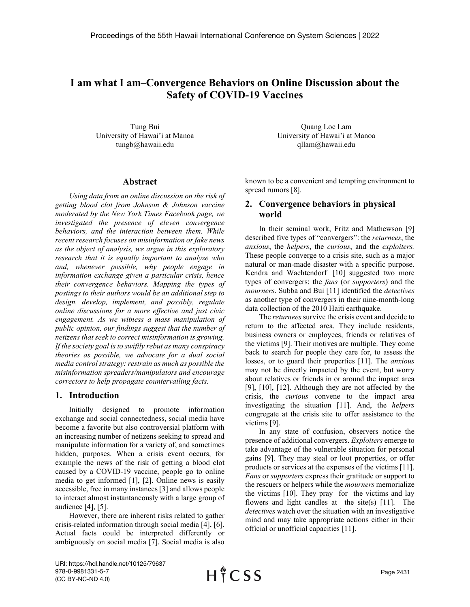# **I am what I am–Convergence Behaviors on Online Discussion about the Safety of COVID-19 Vaccines**

Tung Bui University of Hawai'i at Manoa [tungb@hawaii.edu](mailto:tungb@hawaii.edu)

#### **Abstract**

*Using data from an online discussion on the risk of getting blood clot from Johnson & Johnson vaccine moderated by the New York Times Facebook page, we investigated the presence of eleven convergence behaviors, and the interaction between them. While recent research focuses on misinformation or fake news as the object of analysis, we argue in this exploratory research that it is equally important to analyze who and, whenever possible, why people engage in information exchange given a particular crisis, hence their convergence behaviors. Mapping the types of postings to their authors would be an additional step to design, develop, implement, and possibly, regulate online discussions for a more effective and just civic engagement. As we witness a mass manipulation of public opinion, our findings suggest that the number of netizens that seek to correct misinformation is growing. If the society goal is to swiftly rebut as many conspiracy theories as possible, we advocate for a dual social media control strategy: restrain as much as possible the misinformation spreaders/manipulators and encourage correctors to help propagate countervailing facts.*

### **1. Introduction**

Initially designed to promote information exchange and social connectedness, social media have become a favorite but also controversial platform with an increasing number of netizens seeking to spread and manipulate information for a variety of, and sometimes hidden, purposes. When a crisis event occurs, for example the news of the risk of getting a blood clot caused by a COVID-19 vaccine, people go to online media to get informed [1], [2]. Online news is easily accessible, free in many instances [3] and allows people to interact almost instantaneously with a large group of audience [4], [5].

However, there are inherent risks related to gather crisis-related information through social media [4], [6]. Actual facts could be interpreted differently or ambiguously on social media [7]. Social media is also

Quang Loc Lam University of Hawai'i at Manoa [qllam@hawaii.edu](mailto:qllam@hawaii.edu)

known to be a convenient and tempting environment to spread rumors [8].

## **2. Convergence behaviors in physical world**

In their seminal work, Fritz and Mathewson [9] described five types of "convergers": the *returnees*, the *anxious*, the *helpers*, the *curious*, and the *exploiters.*  These people converge to a crisis site, such as a major natural or man-made disaster with a specific purpose. Kendra and Wachtendorf [10] suggested two more types of convergers: the *fans* (or *supporters*) and the *mourners*. Subba and Bui [11] identified the *detectives* as another type of convergers in their nine-month-long data collection of the 2010 Haiti earthquake.

The *returnees* survive the crisis event and decide to return to the affected area. They include residents, business owners or employees, friends or relatives of the victims [9]. Their motives are multiple. They come back to search for people they care for, to assess the losses, or to guard their properties [11]. The *anxious* may not be directly impacted by the event, but worry about relatives or friends in or around the impact area [9], [10], [12]. Although they are not affected by the crisis, the *curious* convene to the impact area investigating the situation [11]. And, the *helpers* congregate at the crisis site to offer assistance to the victims [9].

In any state of confusion, observers notice the presence of additional convergers. *Exploiters* emerge to take advantage of the vulnerable situation for personal gains [9]. They may steal or loot properties, or offer products or services at the expenses of the victims [11]. *Fans* or *supporters* express their gratitude or support to the rescuers or helpers while the *mourners* memorialize the victims [10]. They pray for the victims and lay flowers and light candles at the site $(s)$  [11]. The *detectives* watch over the situation with an investigative mind and may take appropriate actions either in their official or unofficial capacities [11].

URI: https://hdl.handle.net/10125/79637 978-0-9981331-5-7 (CC BY-NC-ND 4.0)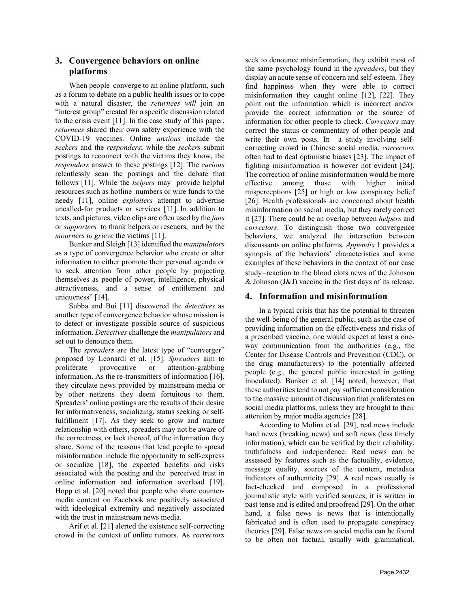## **3. Convergence behaviors on online platforms**

When people converge to an online platform, such as a forum to debate on a public health issues or to cope with a natural disaster, the *returnees will* join an "interest group" created for a specific discussion related to the crisis event [11]. In the case study of this paper, *returnees* shared their own safety experience with the COVID-19 vaccines. Online *anxious* include the *seekers* and the *responders*; while the *seekers* submit postings to reconnect with the victims they know, the *responders* answer to these postings [12]. The *curious* relentlessly scan the postings and the debate that follows [11]. While the *helpers* may provide helpful resources such as hotline numbers or wire funds to the needy [11], online *exploiters* attempt to advertise uncalled-for products or services [11]. In addition to texts, and pictures, video clips are often used by the *fans* or *supporters* to thank helpers or rescuers, and by the *mourners to grieve* the victims [11].

Bunker and Sleigh [13] identified the *manipulators* as a type of convergence behavior who create or alter information to either promote their personal agenda or to seek attention from other people by projecting themselves as people of power, intelligence, physical attractiveness, and a sense of entitlement and uniqueness" [14].

Subba and Bui [11] discovered the *detectives* as another type of convergence behavior whose mission is to detect or investigate possible source of suspicious information. *Detectives* challenge the *manipulators* and set out to denounce them.

The *spreaders* are the latest type of "converger" proposed by Leonardi et al. [15]. *Spreaders* aim to proliferate provocative or attention-grabbing information. As the re-transmitters of information [16], they circulate news provided by mainstream media or by other netizens they deem fortuitous to them. Spreaders' online postings are the results of their desire for informativeness, socializing, status seeking or selffulfillment [17]. As they seek to grow and nurture relationship with others, spreaders may not be aware of the correctness, or lack thereof, of the information they share. Some of the reasons that lead people to spread misinformation include the opportunity to self-express or socialize [18], the expected benefits and risks associated with the posting and the perceived trust in online information and information overload [19]. Hopp et al. [20] noted that people who share countermedia content on Facebook are positively associated with ideological extremity and negatively associated with the trust in mainstream news media.

Arif et al. [21] alerted the existence self-correcting crowd in the context of online rumors. As *correctors*

seek to denounce misinformation, they exhibit most of the same psychology found in the *spreaders*, but they display an acute sense of concern and self-esteem. They find happiness when they were able to correct misinformation they caught online [12], [22]. They point out the information which is incorrect and/or provide the correct information or the source of information for other people to check. *Correctors* may correct the status or commentary of other people and write their own posts. In a study involving selfcorrecting crowd in Chinese social media, *correctors* often had to deal optimistic biases [23]. The impact of fighting misinformation is however not evident [24]. The correction of online misinformation would be more effective among those with higher initial misperceptions [25] or high or low conspiracy belief [26]. Health professionals are concerned about health misinformation on social media, but they rarely correct it [27]. There could be an overlap between *helpers* and *correctors*. To distinguish those two convergence behaviors, we analyzed the interaction between discussants on online platforms. *Appendix* 1 provides a synopsis of the behaviors' characteristics and some examples of these behaviors in the context of our case study**–**reaction to the blood clots news of the Johnson & Johnson (J&J) vaccine in the first days of its release.

## **4. Information and misinformation**

In a typical crisis that has the potential to threaten the well-being of the general public, such as the case of providing information on the effectiveness and risks of a prescribed vaccine, one would expect at least a oneway communication from the authorities (e.g., the Center for Disease Controls and Prevention (CDC), or the drug manufacturers) to the potentially affected people (e.g., the general public interested in getting inoculated). Bunker et al. [14] noted, however, that these authorities tend to not pay sufficient consideration to the massive amount of discussion that proliferates on social media platforms, unless they are brought to their attention by major media agencies [28].

According to Molina et al. [29], real news include hard news (breaking news) and soft news (less timely information), which can be verified by their reliability, truthfulness and independence. Real news can be assessed by features such as the factuality, evidence, message quality, sources of the content, metadata indicators of authenticity [29]. A real news usually is fact-checked and composed in a professional journalistic style with verified sources; it is written in past tense and is edited and proofread [29]. On the other hand, a false news is news that is intentionally fabricated and is often used to propagate conspiracy theories [29]. False news on social media can be found to be often not factual, usually with grammatical,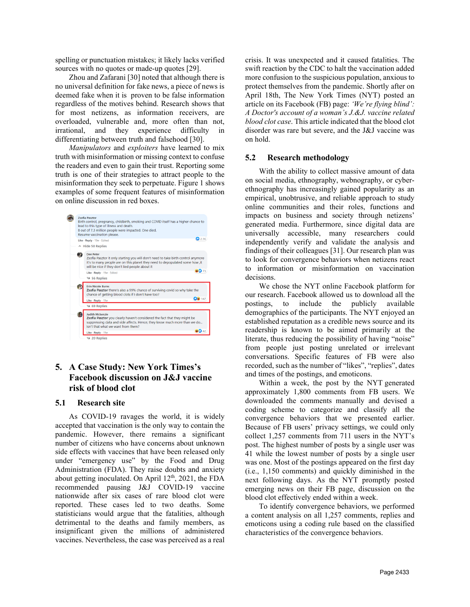spelling or punctuation mistakes; it likely lacks verified sources with no quotes or made-up quotes [29].

Zhou and Zafarani [30] noted that although there is no universal definition for fake news, a piece of news is deemed fake when it is proven to be false information regardless of the motives behind. Research shows that for most netizens, as information receivers, are overloaded, vulnerable and, more often than not, irrational, and they experience difficulty in differentiating between truth and falsehood [30].

*Manipulators* and *exploiters* have learned to mix truth with misinformation or missing context to confuse the readers and even to gain their trust. Reporting some truth is one of their strategies to attract people to the misinformation they seek to perpetuate. Figure 1 shows examples of some frequent features of misinformation on online discussion in red boxes.



## **5. A Case Study: New York Times's Facebook discussion on J&J vaccine risk of blood clot**

### **5.1 Research site**

As COVID-19 ravages the world, it is widely accepted that vaccination is the only way to contain the pandemic. However, there remains a significant number of citizens who have concerns about unknown side effects with vaccines that have been released only under "emergency use" by the Food and Drug Administration (FDA). They raise doubts and anxiety about getting inoculated. On April  $12<sup>th</sup>$ , 2021, the FDA recommended pausing J&J COVID-19 vaccine nationwide after six cases of rare blood clot were reported. These cases led to two deaths. Some statisticians would argue that the fatalities, although detrimental to the deaths and family members, as insignificant given the millions of administered vaccines. Nevertheless, the case was perceived as a real

crisis. It was unexpected and it caused fatalities. The swift reaction by the CDC to halt the vaccination added more confusion to the suspicious population, anxious to protect themselves from the pandemic. Shortly after on April 18th, The New York Times (NYT) posted an article on its Facebook (FB) page: *'We're flying blind': A Doctor's account of a woman's J.&J. vaccine related blood clot case*. This article indicated that the blood clot disorder was rare but severe, and the J&J vaccine was on hold.

### **5.2 Research methodology**

With the ability to collect massive amount of data on social media, ethnography, webnography, or cyberethnography has increasingly gained popularity as an empirical, unobtrusive, and reliable approach to study online communities and their roles, functions and impacts on business and society through netizens' generated media. Furthermore, since digital data are universally accessible, many researchers could independently verify and validate the analysis and findings of their colleagues [31]. Our research plan was to look for convergence behaviors when netizens react to information or misinformation on vaccination decisions.

We chose the NYT online Facebook platform for our research. Facebook allowed us to download all the postings, to include the publicly available demographics of the participants. The NYT enjoyed an established reputation as a credible news source and its readership is known to be aimed primarily at the literate, thus reducing the possibility of having "noise" from people just posting unrelated or irrelevant conversations. Specific features of FB were also recorded, such as the number of "likes", "replies", dates and times of the postings, and emoticons.

Within a week, the post by the NYT generated approximately 1,800 comments from FB users. We downloaded the comments manually and devised a coding scheme to categorize and classify all the convergence behaviors that we presented earlier. Because of FB users' privacy settings, we could only collect 1,257 comments from 711 users in the NYT's post. The highest number of posts by a single user was 41 while the lowest number of posts by a single user was one. Most of the postings appeared on the first day (i.e., 1,150 comments) and quickly diminished in the next following days. As the NYT promptly posted emerging news on their FB page, discussion on the blood clot effectively ended within a week.

To identify convergence behaviors, we performed a content analysis on all 1,257 comments, replies and emoticons using a coding rule based on the classified characteristics of the convergence behaviors.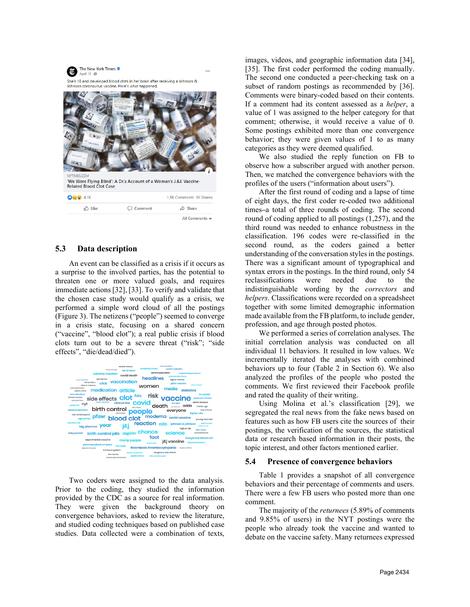

### **5.3 Data description**

An event can be classified as a crisis if it occurs as a surprise to the involved parties, has the potential to threaten one or more valued goals, and requires immediate actions [32], [33]. To verify and validate that the chosen case study would qualify as a crisis, we performed a simple word cloud of all the postings (Figure 3). The netizens ("people") seemed to converge in a crisis state, focusing on a shared concern ("vaccine", "blood clot"); a real public crisis if blood clots turn out to be a severe threat ("risk"; "side effects", "die/dead/died").



Two coders were assigned to the data analysis. Prior to the coding, they studied the information provided by the CDC as a source for real information. They were given the background theory on convergence behaviors, asked to review the literature, and studied coding techniques based on published case studies. Data collected were a combination of texts,

images, videos, and geographic information data [34], [35]. The first coder performed the coding manually. The second one conducted a peer-checking task on a subset of random postings as recommended by [36]. Comments were binary-coded based on their contents. If a comment had its content assessed as a *helper*, a value of 1 was assigned to the helper category for that comment; otherwise, it would receive a value of 0. Some postings exhibited more than one convergence behavior; they were given values of 1 to as many categories as they were deemed qualified.

We also studied the reply function on FB to observe how a subscriber argued with another person. Then, we matched the convergence behaviors with the profiles of the users ("information about users").

After the first round of coding and a lapse of time of eight days, the first coder re-coded two additional times**–**a total of three rounds of coding. The second round of coding applied to all postings (1,257), and the third round was needed to enhance robustness in the classification. 196 codes were re-classified in the second round, as the coders gained a better understanding of the conversation styles in the postings. There was a significant amount of typographical and syntax errors in the postings. In the third round, only 54 reclassifications were needed due to the indistinguishable wording by the *correctors* and *helpers*. Classifications were recorded on a spreadsheet together with some limited demographic information made available from the FB platform, to include gender, profession, and age through posted photos.

We performed a series of correlation analyses. The initial correlation analysis was conducted on all individual 11 behaviors. It resulted in low values. We incrementally iterated the analyses with combined behaviors up to four (Table 2 in Section 6). We also analyzed the profiles of the people who posted the comments. We first reviewed their Facebook profile and rated the quality of their writing.

Using Molina et al.'s classification [29], we segregated the real news from the fake news based on features such as how FB users cite the sources of their postings, the verification of the sources, the statistical data or research based information in their posts, the topic interest, and other factors mentioned earlier.

#### **5.4 Presence of convergence behaviors**

Table 1 provides a snapshot of all convergence behaviors and their percentage of comments and users. There were a few FB users who posted more than one comment.

The majority of the *returnees* (5.89% of comments and 9.85% of users) in the NYT postings were the people who already took the vaccine and wanted to debate on the vaccine safety. Many returnees expressed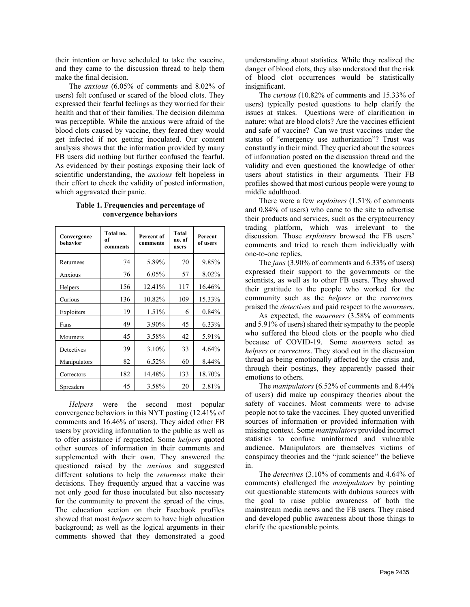their intention or have scheduled to take the vaccine, and they came to the discussion thread to help them make the final decision.

The *anxious* (6.05% of comments and 8.02% of users) felt confused or scared of the blood clots. They expressed their fearful feelings as they worried for their health and that of their families. The decision dilemma was perceptible. While the anxious were afraid of the blood clots caused by vaccine, they feared they would get infected if not getting inoculated. Our content analysis shows that the information provided by many FB users did nothing but further confused the fearful. As evidenced by their postings exposing their lack of scientific understanding, the *anxious* felt hopeless in their effort to check the validity of posted information, which aggravated their panic.

| Table 1. Frequencies and percentage of |  |
|----------------------------------------|--|
| convergence behaviors                  |  |

| Convergence<br>behavior | Total no.<br>of<br>comments | Percent of<br>comments | <b>Total</b><br>no. of<br>users | Percent<br>of users |
|-------------------------|-----------------------------|------------------------|---------------------------------|---------------------|
| Returnees               | 74                          | 5.89%                  | 70                              | 9.85%               |
| Anxious                 | 76                          | 6.05%                  | 57                              | 8.02%               |
| Helpers                 | 156                         | 12.41%                 | 117                             | 16.46%              |
| Curious                 | 136                         | 10.82%                 | 109                             | 15.33%              |
| Exploiters              | 19                          | 1.51%                  | 6                               | 0.84%               |
| Fans                    | 49                          | 3.90%                  | 45                              | 6.33%               |
| Mourners                | 45                          | 3.58%                  | 42                              | 5.91%               |
| Detectives              | 39                          | 3.10%                  | 33                              | 4.64%               |
| Manipulators            | 82                          | $6.52\%$               | 60                              | 8.44%               |
| Correctors              | 182                         | 14.48%                 | 133                             | 18.70%              |
| <b>Spreaders</b>        | 45                          | 3.58%                  | 20                              | 2.81%               |

*Helpers* were the second most popular convergence behaviors in this NYT posting (12.41% of comments and 16.46% of users). They aided other FB users by providing information to the public as well as to offer assistance if requested. Some *helpers* quoted other sources of information in their comments and supplemented with their own. They answered the questioned raised by the *anxious* and suggested different solutions to help the *returnees* make their decisions. They frequently argued that a vaccine was not only good for those inoculated but also necessary for the community to prevent the spread of the virus. The education section on their Facebook profiles showed that most *helpers* seem to have high education background; as well as the logical arguments in their comments showed that they demonstrated a good

understanding about statistics. While they realized the danger of blood clots, they also understood that the risk of blood clot occurrences would be statistically insignificant.

The *curious* (10.82% of comments and 15.33% of users) typically posted questions to help clarify the issues at stakes. Questions were of clarification in nature: what are blood clots? Are the vaccines efficient and safe of vaccine? Can we trust vaccines under the status of "emergency use authorization"? Trust was constantly in their mind. They queried about the sources of information posted on the discussion thread and the validity and even questioned the knowledge of other users about statistics in their arguments. Their FB profiles showed that most curious people were young to middle adulthood.

There were a few *exploiters* (1.51% of comments and 0.84% of users) who came to the site to advertise their products and services, such as the cryptocurrency trading platform, which was irrelevant to the discussion. Those *exploiters* browsed the FB users' comments and tried to reach them individually with one-to-one replies.

The *fans* (3.90% of comments and 6.33% of users) expressed their support to the governments or the scientists, as well as to other FB users. They showed their gratitude to the people who worked for the community such as the *helpers* or the *correctors,*  praised the *detectives* and paid respect to the *mourners*.

As expected, the *mourners* (3.58% of comments and 5.91% of users) shared their sympathy to the people who suffered the blood clots or the people who died because of COVID-19. Some *mourners* acted as *helpers* or *correctors*. They stood out in the discussion thread as being emotionally affected by the crisis and, through their postings, they apparently passed their emotions to others.

The *manipulators* (6.52% of comments and 8.44% of users) did make up conspiracy theories about the safety of vaccines. Most comments were to advise people not to take the vaccines. They quoted unverified sources of information or provided information with missing context. Some *manipulators* provided incorrect statistics to confuse uninformed and vulnerable audience. Manipulators are themselves victims of conspiracy theories and the "junk science" the believe in.

The *detectives* (3.10% of comments and 4.64% of comments) challenged the *manipulators* by pointing out questionable statements with dubious sources with the goal to raise public awareness of both the mainstream media news and the FB users. They raised and developed public awareness about those things to clarify the questionable points.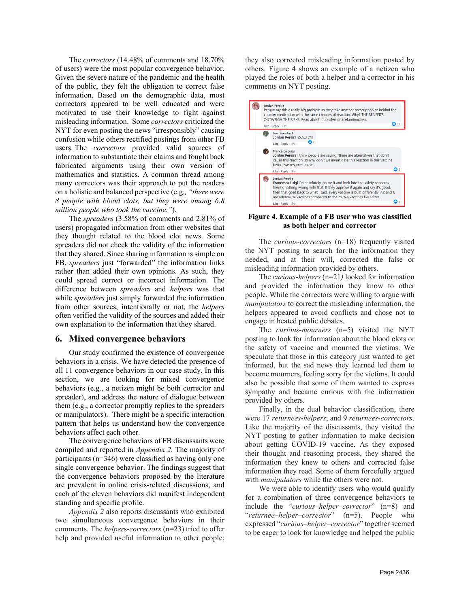The *correctors* (14.48% of comments and 18.70% of users) were the most popular convergence behavior. Given the severe nature of the pandemic and the health of the public, they felt the obligation to correct false information. Based on the demographic data, most correctors appeared to be well educated and were motivated to use their knowledge to fight against misleading information. Some *correctors* criticized the NYT for even posting the news "irresponsibly" causing confusion while others rectified postings from other FB users. The *correctors* provided valid sources of information to substantiate their claims and fought back fabricated arguments using their own version of mathematics and statistics. A common thread among many correctors was their approach to put the readers on a holistic and balanced perspective (e.g*., "there were 8 people with blood clots, but they were among 6.8 million people who took the vaccine."*).

The *spreaders* (3.58% of comments and 2.81% of users) propagated information from other websites that they thought related to the blood clot news. Some spreaders did not check the validity of the information that they shared. Since sharing information is simple on FB, *spreaders* just "forwarded" the information links rather than added their own opinions. As such, they could spread correct or incorrect information. The difference between *spreaders* and *helpers* was that while *spreaders* just simply forwarded the information from other sources, intentionally or not, the *helpers* often verified the validity of the sources and added their own explanation to the information that they shared.

#### **6. Mixed convergence behaviors**

Our study confirmed the existence of convergence behaviors in a crisis. We have detected the presence of all 11 convergence behaviors in our case study. In this section, we are looking for mixed convergence behaviors (e.g., a netizen might be both corrector and spreader), and address the nature of dialogue between them (e.g., a corrector promptly replies to the spreaders or manipulators). There might be a specific interaction pattern that helps us understand how the convergence behaviors affect each other.

The convergence behaviors of FB discussants were compiled and reported in *Appendix 2.* The majority of participants (n=346) were classified as having only one single convergence behavior. The findings suggest that the convergence behaviors proposed by the literature are prevalent in online crisis-related discussions, and each of the eleven behaviors did manifest independent standing and specific profile.

*Appendix 2* also reports discussants who exhibited two simultaneous convergence behaviors in their comments. The *helper*s-*correctors* (n=23) tried to offer help and provided useful information to other people;

they also corrected misleading information posted by others. Figure 4 shows an example of a netizen who played the roles of both a helper and a corrector in his comments on NYT posting.



#### **Figure 4. Example of a FB user who was classified as both helper and corrector**

The *curious*-*correctors* (n=18) frequently visited the NYT posting to search for the information they needed, and at their will, corrected the false or misleading information provided by others.

The *curious*-*helpers* (n=21*)* looked for information and provided the information they know to other people. While the correctors were willing to argue with *manipulators* to correct the misleading information, the helpers appeared to avoid conflicts and chose not to engage in heated public debates.

The *curious*-*mourners* (n=5) visited the NYT posting to look for information about the blood clots or the safety of vaccine and mourned the victims. We speculate that those in this category just wanted to get informed, but the sad news they learned led them to become mourners, feeling sorry for the victims. It could also be possible that some of them wanted to express sympathy and became curious with the information provided by others.

Finally, in the dual behavior classification, there were 17 *returnees*-*helpers*; and 9 *returnees*-*correctors*. Like the majority of the discussants, they visited the NYT posting to gather information to make decision about getting COVID-19 vaccine. As they exposed their thought and reasoning process, they shared the information they knew to others and corrected false information they read. Some of them forcefully argued with *manipulators* while the others were not.

We were able to identify users who would qualify for a combination of three convergence behaviors to include the "*curious–helper–corrector*" (n=8) and "*returnee–helper–corrector*" (n=5). People who expressed "*curious–helper–corrector*" together seemed to be eager to look for knowledge and helped the public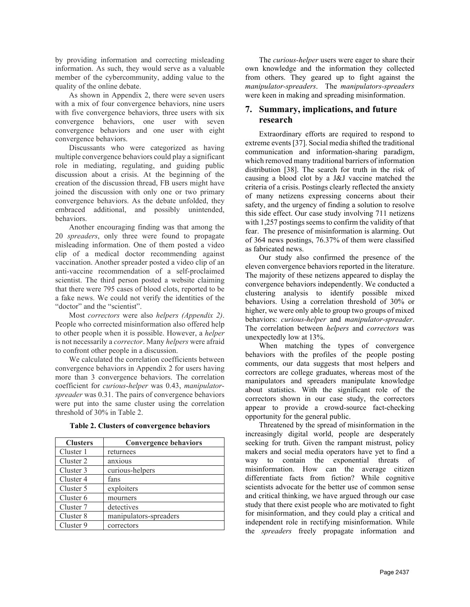by providing information and correcting misleading information. As such, they would serve as a valuable member of the cybercommunity, adding value to the quality of the online debate.

As shown in Appendix 2, there were seven users with a mix of four convergence behaviors, nine users with five convergence behaviors, three users with six convergence behaviors, one user with seven convergence behaviors and one user with eight convergence behaviors.

Discussants who were categorized as having multiple convergence behaviors could play a significant role in mediating, regulating, and guiding public discussion about a crisis. At the beginning of the creation of the discussion thread, FB users might have joined the discussion with only one or two primary convergence behaviors. As the debate unfolded, they embraced additional, and possibly unintended, behaviors.

Another encouraging finding was that among the 20 *spreaders*, only three were found to propagate misleading information. One of them posted a video clip of a medical doctor recommending against vaccination. Another spreader posted a video clip of an anti-vaccine recommendation of a self-proclaimed scientist. The third person posted a website claiming that there were 795 cases of blood clots, reported to be a fake news. We could not verify the identities of the "doctor" and the "scientist".

Most *correctors* were also *helpers (Appendix 2)*. People who corrected misinformation also offered help to other people when it is possible. However, a *helper* is not necessarily a *corrector*. Many *helpers* were afraid to confront other people in a discussion.

We calculated the correlation coefficients between convergence behaviors in Appendix 2 for users having more than 3 convergence behaviors. The correlation coefficient for *curious*-*helper* was 0.43, *manipulatorspreader* was 0.31. The pairs of convergence behaviors were put into the same cluster using the correlation threshold of 30% in Table 2.

| <b>Clusters</b> | <b>Convergence behaviors</b> |
|-----------------|------------------------------|
| Cluster 1       | returnees                    |
| Cluster 2       | anxious                      |
| Cluster 3       | curious-helpers              |
| Cluster 4       | fans                         |
| Cluster 5       | exploiters                   |
| Cluster 6       | mourners                     |
| Cluster 7       | detectives                   |
| Cluster 8       | manipulators-spreaders       |
| Cluster 9       | correctors                   |

**Table 2. Clusters of convergence behaviors**

The *curious-helper* users were eager to share their own knowledge and the information they collected from others. They geared up to fight against the *manipulator-spreaders*. The *manipulators-spreaders* were keen in making and spreading misinformation.

# **7. Summary, implications, and future research**

Extraordinary efforts are required to respond to extreme events [37]. Social media shifted the traditional communication and information-sharing paradigm, which removed many traditional barriers of information distribution [38]. The search for truth in the risk of causing a blood clot by a J&J vaccine matched the criteria of a crisis. Postings clearly reflected the anxiety of many netizens expressing concerns about their safety, and the urgency of finding a solution to resolve this side effect. Our case study involving 711 netizens with 1,257 postings seems to confirm the validity of that fear. The presence of misinformation is alarming. Out of 364 news postings, 76.37% of them were classified as fabricated news.

Our study also confirmed the presence of the eleven convergence behaviors reported in the literature. The majority of these netizens appeared to display the convergence behaviors independently. We conducted a clustering analysis to identify possible mixed behaviors. Using a correlation threshold of 30% or higher, we were only able to group two groups of mixed behaviors: *curious-helper* and *manipulator-spreader*. The correlation between *helpers* and *correctors* was unexpectedly low at 13%.

When matching the types of convergence behaviors with the profiles of the people posting comments, our data suggests that most helpers and correctors are college graduates, whereas most of the manipulators and spreaders manipulate knowledge about statistics. With the significant role of the correctors shown in our case study, the correctors appear to provide a crowd-source fact-checking opportunity for the general public.

Threatened by the spread of misinformation in the increasingly digital world, people are desperately seeking for truth. Given the rampant mistrust, policy makers and social media operators have yet to find a way to contain the exponential threats of misinformation. How can the average citizen differentiate facts from fiction? While cognitive scientists advocate for the better use of common sense and critical thinking, we have argued through our case study that there exist people who are motivated to fight for misinformation, and they could play a critical and independent role in rectifying misinformation. While the *spreaders* freely propagate information and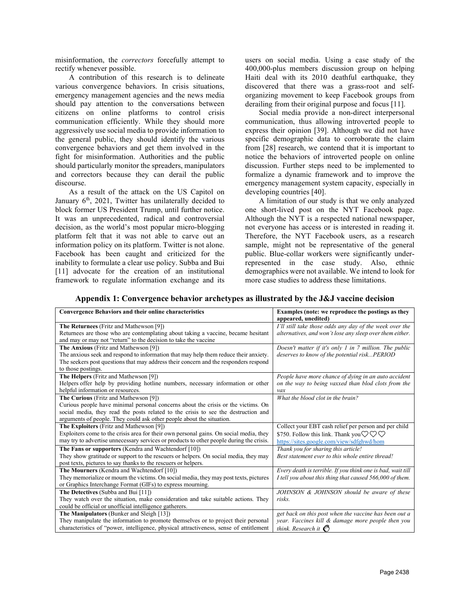misinformation, the *correctors* forcefully attempt to rectify whenever possible.

A contribution of this research is to delineate various convergence behaviors. In crisis situations, emergency management agencies and the news media should pay attention to the conversations between citizens on online platforms to control crisis communication efficiently. While they should more aggressively use social media to provide information to the general public, they should identify the various convergence behaviors and get them involved in the fight for misinformation. Authorities and the public should particularly monitor the spreaders, manipulators and correctors because they can derail the public discourse.

As a result of the attack on the US Capitol on January  $6<sup>th</sup>$ , 2021, Twitter has unilaterally decided to block former US President Trump, until further notice. It was an unprecedented, radical and controversial decision, as the world's most popular micro-blogging platform felt that it was not able to carve out an information policy on its platform. Twitter is not alone. Facebook has been caught and criticized for the inability to formulate a clear use policy. Subba and Bui [11] advocate for the creation of an institutional framework to regulate information exchange and its

users on social media. Using a case study of the 400,000-plus members discussion group on helping Haiti deal with its 2010 deathful earthquake, they discovered that there was a grass-root and selforganizing movement to keep Facebook groups from derailing from their original purpose and focus [11].

Social media provide a non-direct interpersonal communication, thus allowing introverted people to express their opinion [39]. Although we did not have specific demographic data to corroborate the claim from [28] research, we contend that it is important to notice the behaviors of introverted people on online discussion. Further steps need to be implemented to formalize a dynamic framework and to improve the emergency management system capacity, especially in developing countries [40].

A limitation of our study is that we only analyzed one short-lived post on the NYT Facebook page. Although the NYT is a respected national newspaper, not everyone has access or is interested in reading it. Therefore, the NYT Facebook users, as a research sample, might not be representative of the general public. Blue-collar workers were significantly underrepresented in the case study. Also, ethnic demographics were not available. We intend to look for more case studies to address these limitations.

| Appendix 1: Convergence behavior archetypes as illustrated by the J&J vaccine decision |  |
|----------------------------------------------------------------------------------------|--|
|----------------------------------------------------------------------------------------|--|

| <b>Convergence Behaviors and their online characteristics</b>                                                                                                                                                                                                                             | Examples (note: we reproduce the postings as they<br>appeared, unedited)                                                                                                    |
|-------------------------------------------------------------------------------------------------------------------------------------------------------------------------------------------------------------------------------------------------------------------------------------------|-----------------------------------------------------------------------------------------------------------------------------------------------------------------------------|
| The Returnees (Fritz and Mathewson [9])<br>Returnees are those who are contemplating about taking a vaccine, became hesitant<br>and may or may not "return" to the decision to take the vaccine                                                                                           | I'll still take those odds any day of the week over the<br>alternatives, and won't lose any sleep over them either.                                                         |
| The Anxious (Fritz and Mathewson [9])<br>The anxious seek and respond to information that may help them reduce their anxiety.<br>The seekers post questions that may address their concern and the responders respond<br>to those postings.                                               | Doesn't matter if it's only $1$ in $7$ million. The public<br>deserves to know of the potential riskPERIOD                                                                  |
| The Helpers (Fritz and Mathewson [9])<br>Helpers offer help by providing hotline numbers, necessary information or other<br>helpful information or resources.                                                                                                                             | People have more chance of dying in an auto accident<br>on the way to being vaxxed than blod clots from the<br>vax                                                          |
| The Curious (Fritz and Mathewson [9])<br>Curious people have minimal personal concerns about the crisis or the victims. On<br>social media, they read the posts related to the crisis to see the destruction and<br>arguments of people. They could ask other people about the situation. | What the blood clot in the brain?                                                                                                                                           |
| The Exploiters (Fritz and Mathewson [9])<br>Exploiters come to the crisis area for their own personal gains. On social media, they<br>may try to advertise unnecessary services or products to other people during the crisis.                                                            | Collect your EBT cash relief per person and per child<br>\$750. Follow this link. Thank you $\heartsuit \heartsuit \heartsuit$<br>https://sites.google.com/view/sdfghwd/hom |
| The Fans or supporters (Kendra and Wachtendorf [10])<br>They show gratitude or support to the rescuers or helpers. On social media, they may<br>post texts, pictures to say thanks to the rescuers or helpers.                                                                            | Thank you for sharing this article!<br>Best statement ever to this whole entire thread!                                                                                     |
| The Mourners (Kendra and Wachtendorf [10])<br>They memorialize or mourn the victims. On social media, they may post texts, pictures<br>or Graphics Interchange Format (GIFs) to express mourning.                                                                                         | Every death is terrible. If you think one is bad, wait till<br>I tell you about this thing that caused 566,000 of them.                                                     |
| The Detectives (Subba and Bui [11])<br>They watch over the situation, make consideration and take suitable actions. They<br>could be official or unofficial intelligence gatherers.                                                                                                       | JOHNSON & JOHNSON should be aware of these<br>risks.                                                                                                                        |
| The Manipulators (Bunker and Sleigh [13])<br>They manipulate the information to promote themselves or to project their personal<br>characteristics of "power, intelligence, physical attractiveness, sense of entitlement                                                                 | get back on this post when the vaccine has been out a<br>year. Vaccines kill & damage more people then you<br>think. Research it $\mathcal{E}^{\mathcal{S}}$                |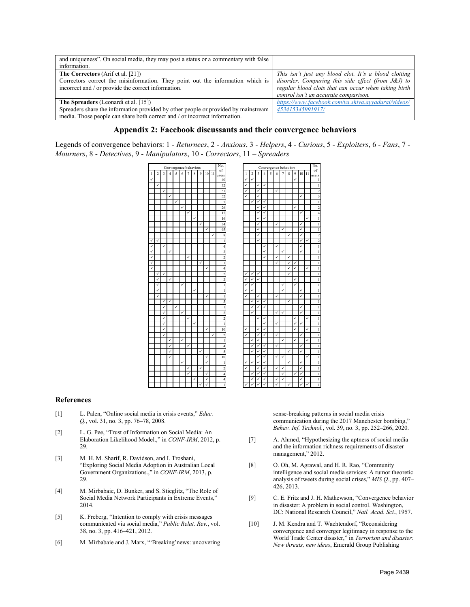| and uniqueness". On social media, they may post a status or a commentary with false<br>information.                                                                                                             |                                                                                                                                                                                                              |
|-----------------------------------------------------------------------------------------------------------------------------------------------------------------------------------------------------------------|--------------------------------------------------------------------------------------------------------------------------------------------------------------------------------------------------------------|
| <b>The Correctors</b> (Arif et al. [21])<br>Correctors correct the misinformation. They point out the information which is<br>incorrect and / or provide the correct information.                               | This isn't just any blood clot. It's a blood clotting<br>disorder. Comparing this side effect (from J&J) to<br>regular blood clots that can occur when taking birth<br>control isn't an accurate comparison. |
| <b>The Spreaders</b> (Leonardi et al. [15])<br>Spreaders share the information provided by other people or provided by mainstream<br>media. Those people can share both correct and / or incorrect information. | https://www.facebook.com/va.shiva.ayyadurai/videos/<br>453415345991917/                                                                                                                                      |

### **Appendix 2: Facebook discussants and their convergence behaviors**

Legends of convergence behaviors: 1 - *Returnees*, 2 - *Anxious*, 3 - *Helpers*, 4 - *Curious*, 5 - *Exploiters*, 6 - *Fans*, 7 - *Mourners*, 8 - *Detectives*, 9 - *Manipulators*, 10 - *Correctors*, 11 – *Spreaders*

|   | Convergence behaviors |                |                |   |   |                |              |                |        |        | No.            | Convergence behaviors |            |              |                |   |              |                |             |                |           |   |
|---|-----------------------|----------------|----------------|---|---|----------------|--------------|----------------|--------|--------|----------------|-----------------------|------------|--------------|----------------|---|--------------|----------------|-------------|----------------|-----------|---|
| 1 | $\overline{2}$        | $\overline{3}$ | $\overline{4}$ | 5 | 6 | $\overline{7}$ | $\,$ 8 $\,$  | $\overline{9}$ | $10\,$ | $11\,$ | of<br>users    | $\mathbf{1}$          | $\sqrt{2}$ | 3            | $\overline{4}$ | 5 | 6            | $\overline{7}$ | $\,$ 8 $\,$ | $\overline{9}$ | $10 - 11$ |   |
| ✓ |                       |                |                |   |   |                |              |                |        |        | 40             | ✓                     | ✓          |              |                |   |              |                |             | $\checkmark$   |           |   |
|   | ✓                     |                |                |   |   |                |              |                |        |        | 32             | ✓                     |            | ✓            | ✓              |   |              |                |             |                |           |   |
|   |                       | ✓              |                |   |   |                |              |                |        |        | 51             | ✓                     |            | ✓            |                |   | ✓            |                |             |                |           |   |
|   |                       |                | ✓              |   |   |                |              |                |        |        | 52             | ✓                     |            | ✓            |                |   |              |                |             |                | ✓         |   |
|   |                       |                |                | ✓ |   |                |              |                |        |        | 5              |                       | ✓          | ✓            | ✓              |   |              |                |             |                |           |   |
|   |                       |                |                |   | ✓ |                |              |                |        |        | 26             |                       |            | ✓            | ✓              |   |              |                |             | ✓              |           |   |
|   |                       |                |                |   |   | ✓              |              |                |        |        | 17             |                       |            | ✓            | ✓              |   |              |                |             |                | ✓         |   |
|   |                       |                |                |   |   |                | $\checkmark$ |                |        |        | 16             |                       |            | ✓            | ✓              |   |              |                |             |                |           | ✓ |
|   |                       |                |                |   |   |                |              | ✓              |        |        | 34             |                       |            | ✓            |                |   | ✓            |                |             |                | ✓         |   |
|   |                       |                |                |   |   |                |              |                | ✓      |        | 65             |                       |            | ✓            |                |   |              | ✓              |             |                | ✓         |   |
|   |                       |                |                |   |   |                |              |                |        | ✓      | 8              |                       |            | $\checkmark$ |                |   |              |                | ✓           |                | ✓         |   |
| ✓ | ✓                     |                |                |   |   |                |              |                |        |        | $\mathbf{1}$   |                       |            | ✓            |                |   |              |                |             |                | ✓         | ✓ |
| ✓ |                       | ✓              |                |   |   |                |              |                |        |        | $\overline{4}$ |                       |            |              | ✓              |   | $\checkmark$ |                |             |                | ✓         |   |
| ✓ |                       |                | ✓              |   |   |                |              |                |        |        | 3              |                       |            |              | ✓              |   |              | ✓              |             |                | ✓         |   |
| ✓ |                       |                |                |   |   | ✓              |              |                |        |        | $\overline{c}$ |                       |            |              | ✓              |   | ✓            |                | ✓           |                |           |   |
| ✓ |                       |                |                |   |   |                |              | ✓              |        |        | $\mathbf{1}$   |                       |            |              |                |   | $\checkmark$ |                | ✓           | ✓              |           |   |
| ✓ |                       |                |                |   |   |                |              |                | ✓      |        | $\overline{4}$ |                       |            |              |                |   |              |                | ✓           | $\checkmark$   |           | ✓ |
|   | ✓                     | ✓              |                |   |   |                |              |                |        |        | $\overline{c}$ | ✓                     | ✓          | ✓            |                |   |              |                | ✓           |                |           |   |
|   | ✓                     |                | $\checkmark$   |   |   |                |              |                |        |        | $\overline{2}$ | ✓                     | ✓          | ✓            |                |   |              |                |             | $\checkmark$   |           |   |
|   | ✓                     |                |                |   | ✓ |                |              |                |        |        | $\mathbf{1}$   | ✓                     | ✓          |              |                |   |              | ✓              |             | ✓              |           |   |
|   | ✓                     |                |                |   |   |                | ✓            |                |        |        | $\mathbf{1}$   | ✓                     | ✓          |              |                |   |              | ✓              |             |                | ✓         |   |
|   | ✓                     |                |                |   |   |                |              |                | ✓      |        | $\mathbf{1}$   | ✓                     |            | ✓            |                |   | ✓            |                |             |                | ✓         |   |
|   |                       | ✓              | $\checkmark$   |   |   |                |              |                |        |        | 5              |                       | √          | ✓            | ✓              |   |              |                | ✓           |                |           |   |
|   |                       | ✓              |                | ✓ |   |                |              |                |        |        | $\mathbf{1}$   |                       | ✓          | ✓            | ✓              |   |              |                |             |                | ✓         |   |
|   |                       | ✓              |                |   | ✓ |                |              |                |        |        | $\overline{c}$ |                       | ✓          |              |                |   | $\checkmark$ | ✓              |             |                | ✓         |   |
|   |                       | ✓              |                |   |   | ✓              |              |                |        |        | $\overline{c}$ |                       |            | ✓            | ✓              |   |              |                |             | ✓              |           | ✓ |
|   |                       | ✓              |                |   |   |                | ✓            |                |        |        | 1              |                       |            |              | ✓              |   | ✓            |                |             | ✓              | ✓         |   |
|   |                       | ✓              |                |   |   |                |              |                | ✓      |        | 10             | ✓                     |            | ✓            | ✓              |   |              |                |             | ✓              |           | ✓ |
|   |                       | ✓              |                |   |   |                |              |                |        | ✓      | $\overline{c}$ | ✓                     |            | ✓            | ✓              |   | $\checkmark$ |                |             |                | ✓         |   |
|   |                       |                | ✓              |   | ✓ |                |              |                |        |        | $\mathbf{1}$   |                       | ✓          | ✓            |                |   |              | ✓              |             | ✓              |           | ✓ |
|   |                       |                | ✓              |   |   | ✓              |              |                |        |        | $\overline{4}$ |                       | J          | ✓            | $\checkmark$   |   | $\checkmark$ |                |             |                | ✓         |   |
|   |                       |                | ✓              |   |   |                |              | ✓              |        |        | 5              |                       | ✓          | ✓            | ✓              |   |              |                | ✓           |                | ✓         |   |
|   |                       |                | ✓              |   |   |                |              |                | ✓      |        | 10             |                       |            | ✓            | ✓              |   | ✓            | $\checkmark$   |             |                |           | ✓ |
|   |                       |                |                |   | ✓ |                |              |                | ✓      |        | $\,1$          | ✓                     | ✓          | $\checkmark$ | ✓              |   |              |                | ✓           |                | ✓         |   |
|   |                       |                |                |   |   | ✓              |              | ✓              |        |        | $\overline{c}$ | ✓                     |            | ✓            | ✓              |   | ✓            | ✓              |             |                | ✓         |   |
|   |                       |                |                |   |   | ✓              |              |                | ✓      |        | $\overline{4}$ |                       | √          | ✓            | ✓              |   |              | ✓              |             | ✓              | ✓         |   |
|   |                       |                |                |   |   |                | ✓            |                | ✓      |        | $\overline{4}$ |                       | √          | ✓            | ✓              |   | ✓            | ✓              |             |                | ✓         |   |
|   |                       |                |                |   |   |                |              | ✓              | √      |        | $\mathbf{1}$   | ✓                     | √          | ✓            | ✓              |   | $\checkmark$ |                | ✓           |                | ✓         |   |

|       | Convergence behaviors |              |                |   |   |                |              |                |    |    | No.                     | Convergence behaviors |                |              |                |   |   |                |             |   |              | No.          |                |
|-------|-----------------------|--------------|----------------|---|---|----------------|--------------|----------------|----|----|-------------------------|-----------------------|----------------|--------------|----------------|---|---|----------------|-------------|---|--------------|--------------|----------------|
| $1\,$ | $\overline{2}$        | 3            | $\overline{4}$ | 5 | 6 | $\overline{7}$ | $\,$ 8 $\,$  | $\overline{9}$ | 10 | 11 | of<br>users             | $\mathbf{1}$          | $\overline{2}$ | 3            | $\overline{4}$ | 5 | 6 | $\overline{7}$ | $\,$ 8 $\,$ | 9 | 10           | 11           | of<br>users    |
| ✓     |                       |              |                |   |   |                |              |                |    |    | 40                      | ✓                     | √              |              |                |   |   |                |             | ✓ |              |              | 1              |
|       | $\checkmark$          |              |                |   |   |                |              |                |    |    | 32                      | $\checkmark$          |                | ✓            | ✓              |   |   |                |             |   |              |              | $\,$ 1 $\,$    |
|       |                       | ✓            |                |   |   |                |              |                |    |    | 51                      | ✓                     |                | ✓            |                |   | ✓ |                |             |   |              |              | $\overline{c}$ |
|       |                       |              | ✓              |   |   |                |              |                |    |    | 52                      | ✓                     |                | ✓            |                |   |   |                |             |   | ✓            |              | 3              |
|       |                       |              |                | ✓ |   |                |              |                |    |    | 5                       |                       | ✓              | ✓            | ✓              |   |   |                |             |   |              |              | $\,$ 1 $\,$    |
|       |                       |              |                |   | ✓ |                |              |                |    |    | 26                      |                       |                | ✓            | ✓              |   |   |                |             | ✓ |              |              | $\overline{c}$ |
|       |                       |              |                |   |   | ✓              |              |                |    |    | 17                      |                       |                | ✓            | ✓              |   |   |                |             |   | ✓            |              | $\overline{4}$ |
|       |                       |              |                |   |   |                | $\checkmark$ |                |    |    | 16                      |                       |                | ✓            | ✓              |   |   |                |             |   |              | ✓            | $\,$ 1 $\,$    |
|       |                       |              |                |   |   |                |              | ✓              |    |    | 34                      |                       |                | ✓            |                |   | ✓ |                |             |   | ✓            |              | $\mathbf{1}$   |
|       |                       |              |                |   |   |                |              |                | ✓  |    | 65                      |                       |                | ✓            |                |   |   | ✓              |             |   | ✓            |              | $\,1$          |
|       |                       |              |                |   |   |                |              |                |    | ✓  | 8                       |                       |                | ✓            |                |   |   |                | ✓           |   | ✓            |              | $\overline{c}$ |
| ✓     | ✓                     |              |                |   |   |                |              |                |    |    | $\mathbf{1}$            |                       |                | $\checkmark$ |                |   |   |                |             |   | ✓            | ✓            | $\overline{2}$ |
| ✓     |                       | ✓            |                |   |   |                |              |                |    |    | $\overline{4}$          |                       |                |              | ✓              |   | ✓ |                |             |   | ✓            |              | $\mathbf{1}$   |
| ✓     |                       |              | ✓              |   |   |                |              |                |    |    | $\overline{\mathbf{3}}$ |                       |                |              | ✓              |   |   | ✓              |             |   | ✓            |              | $\,$ 1 $\,$    |
| ✓     |                       |              |                |   |   | ✓              |              |                |    |    | $\overline{2}$          |                       |                |              | ✓              |   | ✓ |                | ✓           |   |              |              | $\mathbf{1}$   |
| ✓     |                       |              |                |   |   |                |              | ✓              |    |    | $\mathbf{1}$            |                       |                |              |                |   | ✓ |                | ✓           | √ |              |              | $\mathbf{1}$   |
| ✓     |                       |              |                |   |   |                |              |                | ✓  |    | $\overline{4}$          |                       |                |              |                |   |   |                | ✓           | ✓ |              | $\checkmark$ | $\mathbf{1}$   |
|       | ✓                     | ✓            |                |   |   |                |              |                |    |    | $\overline{c}$          | ✓                     | ✓              | ✓            |                |   |   |                | ✓           |   |              |              | $\mathbf{1}$   |
|       | $\checkmark$          |              | $\checkmark$   |   |   |                |              |                |    |    | $\overline{2}$          | ✓                     | V              | $\checkmark$ |                |   |   |                |             | ✓ |              |              | $\mathbf{1}$   |
|       | ✓                     |              |                |   | ✓ |                |              |                |    |    | $\mathbf{1}$            | ✓                     | ✓              |              |                |   |   | ✓              |             | ✓ |              |              | $\mathbf{1}$   |
|       | ✓                     |              |                |   |   |                | ✓            |                |    |    | $\mathbf{1}$            | ✓                     | ✓              |              |                |   |   | ✓              |             |   | ✓            |              | $\mathbf{1}$   |
|       | ✓                     |              |                |   |   |                |              |                | ✓  |    | $\mathbf{1}$            | Ī                     |                | $\checkmark$ |                |   | ✓ |                |             |   | ✓            |              | $\mathbf{1}$   |
|       |                       | ✓            | ✓              |   |   |                |              |                |    |    | 5                       |                       | ✓              | ✓            | ✓              |   |   |                | ✓           |   |              |              | $\mathbf{1}$   |
|       |                       | ✓            |                | ✓ |   |                |              |                |    |    | $\mathbf{1}$            |                       | ✓              | ✓            | ✓              |   |   |                |             |   | ✓            |              | 1              |
|       |                       | $\checkmark$ |                |   | ✓ |                |              |                |    |    | $\overline{c}$          |                       | ✓              |              |                |   | ✓ | ✓              |             |   | ✓            |              | $\,1$          |
|       |                       | ✓            |                |   |   | ✓              |              |                |    |    | $\overline{2}$          |                       |                | $\checkmark$ | ✓              |   |   |                |             | ✓ |              | ✓            | $\mathbf{1}$   |
|       |                       | ✓            |                |   |   |                | ✓            |                |    |    | $\mathbf{1}$            |                       |                |              | ✓              |   | ✓ |                |             | ✓ | ✓            |              | $\mathbf{1}$   |
|       |                       | ✓            |                |   |   |                |              |                | ✓  |    | 10                      | ✓                     |                | ✓            | ✓              |   |   |                |             | ✓ |              | ✓            | $\mathbf{1}$   |
|       |                       | ✓            |                |   |   |                |              |                |    | ✓  | $\overline{c}$          | ✓                     |                | $\checkmark$ | ✓              |   | ✓ |                |             |   | $\checkmark$ |              | $\mathbf{1}$   |
|       |                       |              | ✓              |   | ✓ |                |              |                |    |    | $\mathbf{1}$            |                       | ✓              | ✓            |                |   |   | ✓              |             | ✓ |              | ✓            | $\mathbf{1}$   |
|       |                       |              | ✓              |   |   | ✓              |              |                |    |    | $\overline{4}$          |                       | ✓              | ✓            | ✓              |   | ✓ |                |             |   | ✓            |              | $\mathbf{1}$   |
|       |                       |              | ✓              |   |   |                |              | ✓              |    |    | 5                       |                       | ✓              | ✓            | ✓              |   |   |                | ✓           |   | ✓            |              | $\,$ 1 $\,$    |
|       |                       |              | ✓              |   |   |                |              |                | ✓  |    | 10                      |                       |                | ✓            | ✓              |   | ✓ | ✓              |             |   |              | ✓            | $\,$ 1 $\,$    |
|       |                       |              |                |   | ✓ |                |              |                | ✓  |    | $\mathbf{1}$            | ✓                     | ✓              | ✓            | ✓              |   |   |                | ✓           |   | ✓            |              | $\mathbf{1}$   |
|       |                       |              |                |   |   | $\checkmark$   |              | ✓              |    |    | $\overline{a}$          | ✓                     |                | ✓            | ✓              |   | ✓ | ✓              |             |   | ✓            |              | $\mathbf{1}$   |
|       |                       |              |                |   |   | ✓              |              |                | ✓  |    | $\overline{4}$          |                       | V              | ✓            | ✓              |   |   | ✓              |             | ✓ | ✓            |              | $\mathbf{1}$   |
|       |                       |              |                |   |   |                | ✓            |                | ✓  |    | $\overline{4}$          |                       | ✓              | ✓            | ✓              |   | ✓ | ✓              |             |   | ✓            |              | $\mathbf{1}$   |
|       |                       |              |                |   |   |                |              |                | V  |    | $\mathbf{1}$            |                       | $\checkmark$   | ú            | V              |   | ✓ |                | u           |   | ✓            |              | $\mathbf{1}$   |

#### **References**

- [1] L. Palen, "Online social media in crisis events," *Educ. Q.*, vol. 31, no. 3, pp. 76–78, 2008.
- [2] L. G. Pee, "Trust of Information on Social Media: An Elaboration Likelihood Model.," in *CONF-IRM*, 2012, p. 29.
- [3] M. H. M. Sharif, R. Davidson, and I. Troshani, "Exploring Social Media Adoption in Australian Local Government Organizations.," in *CONF-IRM*, 2013, p. 29.
- [4] M. Mirbabaie, D. Bunker, and S. Stieglitz, "The Role of Social Media Network Participants in Extreme Events," 2014.
- [5] K. Freberg, "Intention to comply with crisis messages communicated via social media," *Public Relat. Rev.*, vol. 38, no. 3, pp. 416–421, 2012.
- [6] M. Mirbabaie and J. Marx, "'Breaking'news: uncovering

sense-breaking patterns in social media crisis communication during the 2017 Manchester bombing," *Behav. Inf. Technol.*, vol. 39, no. 3, pp. 252–266, 2020.

- [7] A. Ahmed, "Hypothesizing the aptness of social media and the information richness requirements of disaster management," 2012.
- [8] O. Oh, M. Agrawal, and H. R. Rao, "Community intelligence and social media services: A rumor theoretic analysis of tweets during social crises," *MIS Q.*, pp. 407– 426, 2013.
- [9] C. E. Fritz and J. H. Mathewson, "Convergence behavior in disaster: A problem in social control. Washington, DC: National Research Council," *Natl. Acad. Sci.*, 1957.
- [10] J. M. Kendra and T. Wachtendorf, "Reconsidering convergence and converger legitimacy in response to the World Trade Center disaster," in *Terrorism and disaster: New threats, new ideas*, Emerald Group Publishing